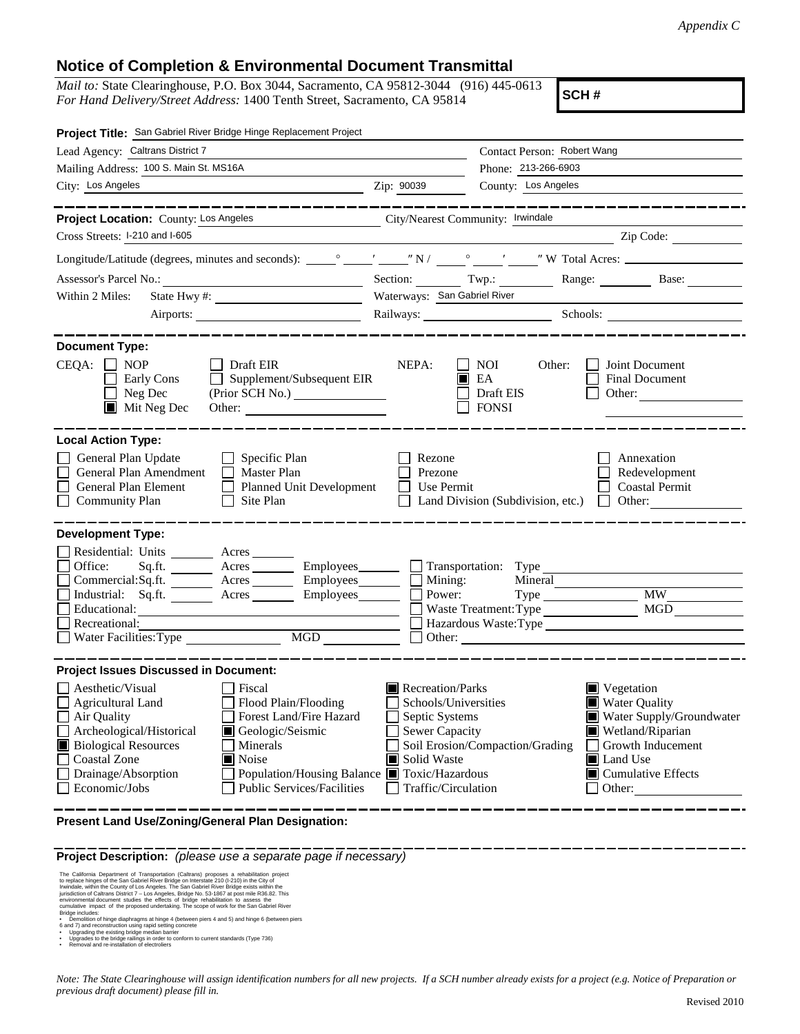## **Notice of Completion & Environmental Document Transmittal**

*Mail to:* State Clearinghouse, P.O. Box 3044, Sacramento, CA 95812-3044 (916) 445-0613 *For Hand Delivery/Street Address:* 1400 Tenth Street, Sacramento, CA 95814

**SCH #**

| Project Title: San Gabriel River Bridge Hinge Replacement Project                                                                                                                                                                                                                                                                                                                                                             |                                                                                                                                                                                                                                                                                                                                                |  |  |  |
|-------------------------------------------------------------------------------------------------------------------------------------------------------------------------------------------------------------------------------------------------------------------------------------------------------------------------------------------------------------------------------------------------------------------------------|------------------------------------------------------------------------------------------------------------------------------------------------------------------------------------------------------------------------------------------------------------------------------------------------------------------------------------------------|--|--|--|
| Lead Agency: Caltrans District 7                                                                                                                                                                                                                                                                                                                                                                                              | Contact Person: Robert Wang                                                                                                                                                                                                                                                                                                                    |  |  |  |
| Mailing Address: 100 S. Main St. MS16A                                                                                                                                                                                                                                                                                                                                                                                        | Phone: 213-266-6903                                                                                                                                                                                                                                                                                                                            |  |  |  |
| City: Los Angeles<br><u> 1989 - Johann Barbara, martxa eta idazlea (h. 1989).</u>                                                                                                                                                                                                                                                                                                                                             | County: Los Angeles<br>Zip: 90039                                                                                                                                                                                                                                                                                                              |  |  |  |
| __________                                                                                                                                                                                                                                                                                                                                                                                                                    | ___________________                                                                                                                                                                                                                                                                                                                            |  |  |  |
| Project Location: County: Los Angeles                                                                                                                                                                                                                                                                                                                                                                                         | City/Nearest Community: Irwindale                                                                                                                                                                                                                                                                                                              |  |  |  |
| Cross Streets: I-210 and I-605                                                                                                                                                                                                                                                                                                                                                                                                | Zip Code:                                                                                                                                                                                                                                                                                                                                      |  |  |  |
|                                                                                                                                                                                                                                                                                                                                                                                                                               |                                                                                                                                                                                                                                                                                                                                                |  |  |  |
| Assessor's Parcel No.:<br><u> 1989 - Johann Barbara, martxa alemaniar a</u>                                                                                                                                                                                                                                                                                                                                                   | Section: Twp.: Range: Base:                                                                                                                                                                                                                                                                                                                    |  |  |  |
| Within 2 Miles:                                                                                                                                                                                                                                                                                                                                                                                                               | Waterways: San Gabriel River                                                                                                                                                                                                                                                                                                                   |  |  |  |
|                                                                                                                                                                                                                                                                                                                                                                                                                               | Railways: Schools: Schools:                                                                                                                                                                                                                                                                                                                    |  |  |  |
| -------------<br><b>Document Type:</b>                                                                                                                                                                                                                                                                                                                                                                                        |                                                                                                                                                                                                                                                                                                                                                |  |  |  |
| $CEQA: \Box NP$<br>Draft EIR<br>Supplement/Subsequent EIR<br>Early Cons<br>$\Box$ Neg Dec<br>$\blacksquare$ Mit Neg Dec<br>Other:                                                                                                                                                                                                                                                                                             | NEPA:<br>NOI<br>Other:<br>Joint Document<br>EA<br><b>Final Document</b><br>Draft EIS<br>Other:<br><b>FONSI</b>                                                                                                                                                                                                                                 |  |  |  |
| <b>Local Action Type:</b><br>General Plan Update<br>Specific Plan<br>General Plan Amendment<br>$\Box$ Master Plan<br>General Plan Element<br>Planned Unit Development<br><b>Community Plan</b><br>Site Plan                                                                                                                                                                                                                   | Rezone<br>Annexation<br>Prezone<br>Redevelopment<br>Use Permit<br><b>Coastal Permit</b><br>Land Division (Subdivision, etc.)<br>Other:<br>$\mathbf{1}$                                                                                                                                                                                         |  |  |  |
| <b>Development Type:</b><br>Residential: Units ________ Acres ______<br>Office:<br>Sq.fit.<br>Commercial:Sq.ft. ________ Acres _________ Employees_______<br>Industrial: Sq.ft. Acres<br>Employees_________<br>Educational:<br>Recreational:<br>MGD<br>Water Facilities: Type                                                                                                                                                 | Transportation: Type<br>$\Box$ Mining:<br>Power:<br>MW<br>Waste Treatment: Type<br>MGD<br>Hazardous Waste:Type<br>Other:                                                                                                                                                                                                                       |  |  |  |
| <b>Project Issues Discussed in Document:</b><br>Aesthetic/Visual<br>  Fiscal<br>Flood Plain/Flooding<br>Agricultural Land<br>Forest Land/Fire Hazard<br>Air Quality<br>Archeological/Historical<br>Geologic/Seismic<br><b>Biological Resources</b><br>Minerals<br>■ Noise<br><b>Coastal Zone</b><br>Drainage/Absorption<br>Population/Housing Balance ■ Toxic/Hazardous<br>Economic/Jobs<br><b>Public Services/Facilities</b> | Recreation/Parks<br>$\blacksquare$ Vegetation<br>Schools/Universities<br>■ Water Quality<br>Septic Systems<br>Water Supply/Groundwater<br>Sewer Capacity<br>Wetland/Riparian<br>Soil Erosion/Compaction/Grading<br>Growth Inducement<br>Solid Waste<br><b>I</b> Land Use<br>$\blacksquare$ Cumulative Effects<br>Traffic/Circulation<br>Other: |  |  |  |
| Present Land Use/Zoning/General Plan Designation:                                                                                                                                                                                                                                                                                                                                                                             |                                                                                                                                                                                                                                                                                                                                                |  |  |  |

**Project Description:** *(please use a separate page if necessary)*

The California Department of Transportation (Calitans) proposes a rehabilitation projectors of the San Gabriel River Bridge on Interstate 210 (ii-210) in the City of the Invindale, within the County of Los Angeles. The Sa

*Note: The State Clearinghouse will assign identification numbers for all new projects. If a SCH number already exists for a project (e.g. Notice of Preparation or previous draft document) please fill in.*